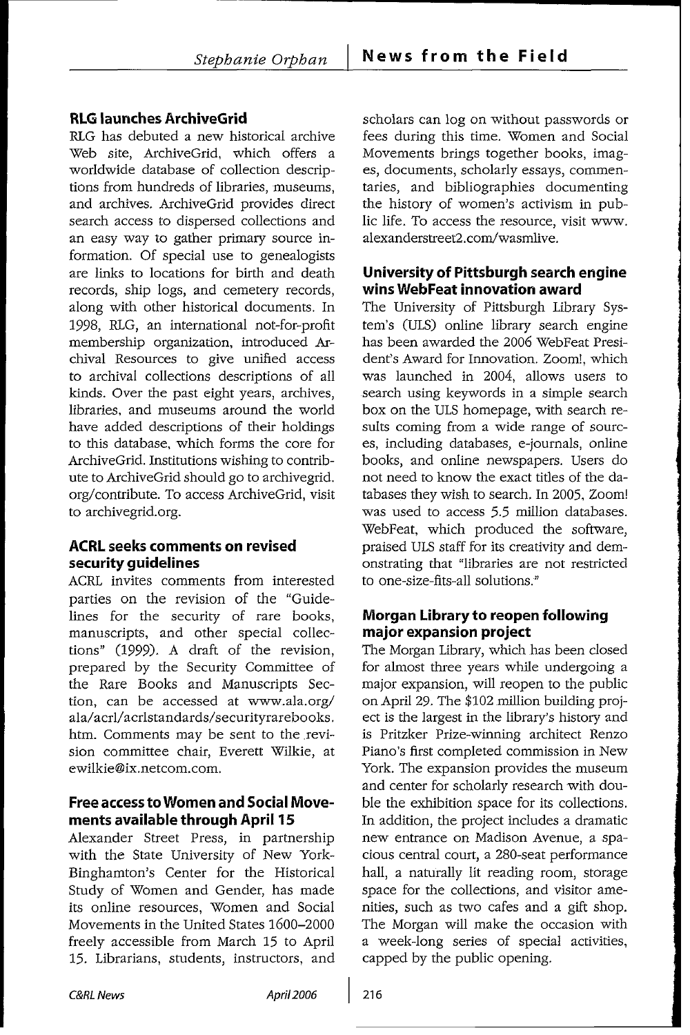## RLG launches ArchiveGrid

RLG has debuted a new historical archive Web site, ArchiveGrid, which offers a worldwide database of collection descriptions from hundreds of libraries, museums, and archives. ArchiveGrid provides direct search access to dispersed collections and an easy way to gather primary source information. Of special use to genealogists are links to locations for birth and death records, ship logs, and cemetery records, along with other historical documents. In 1998, RLG, an international not-for-profit membership organization, introduced Archival Resources to give unified access to archival collections descriptions of all kinds. Over the past eight years, archives, libraries, and museums around the world have added descriptions of their holdings to this database, which forms the core for ArchiveGrid. Institutions wishing to contribute to ArchiveGrid should go to archivegrid. org/contribute. To access ArchiveGrid, visit to archivegrid.org.

#### ACRL seeks comments on revised security guidelines

ACRL invites comments from interested parties on the revision of the "Guidelines for the security of rare books, manuscripts, and other special collections" (1999). A draft of the revision, prepared **by** the Security Committee of the Rare Books and Manuscripts Section, can be accessed at www.ala.org/ ala/acrl/acrlstandards/securityrarebooks. htm. Comments may be sent to the revision committee chair, Everett Wilkie, at ewilkie@ix.netcom.com.

#### Free access to Women and Social Movements available through April **15**

Alexander Street Press, in partnership with the State University of New York-Binghamton's Center for the Historical Study of Women and Gender, has made its online resources, Women and Social Movements in the United States 1600-2000 freely accessible from March 15 to April 15. Librarians, students, instructors, and scholars can log on without passwords or fees during this time. Women and Social Movements brings together books, images, documents, scholarly essays, commentaries, and bibliographies documenting the history of women's activism in public life. To access the resource, visit www. alexanderstreet2.conVwasmlive.

## University of Pittsburgh search engine wins WebFeat innovation award

The University of Pittsburgh Library System's (ULS) online library search engine has been awarded the 2006 WebFeat President's Award for Innovation. Zoom!, which was launched in 2004, allows users to search using keywords in a simple search box on the ULS homepage, with search results coming from a wide range of sources, including databases, e-journals, online books, and online newspapers. Users do not need to know the exact titles of the databases they wish to search. In 2005, Zoom! was used to access 5.5 million databases. WebFeat, which produced the software, praised ULS staff for its creativity and demonstrating that "libraries are not restricted to one-size-fits-all solutions."

## Morgan Library to reopen following major expansion project

The Morgan Library, which has been closed for almost three years while undergoing a major expansion, will reopen to the public on April 29. The \$102 million building project is the largest in the library's history and is Pritzker Prize-winning architect Renzo Piano's first completed commission in New York. The expansion provides the museum and center for scholarly research with double the exhibition space for its collections. In addition, the project includes a dramatic new entrance on Madison Avenue, a spacious central court, a 280-seat performance hall, a naturally lit reading room, storage space for the collections, and visitor amenities, such as two cafes and a gift shop. The Morgan will make the occasion with a week-long series of special activities, capped by the public opening.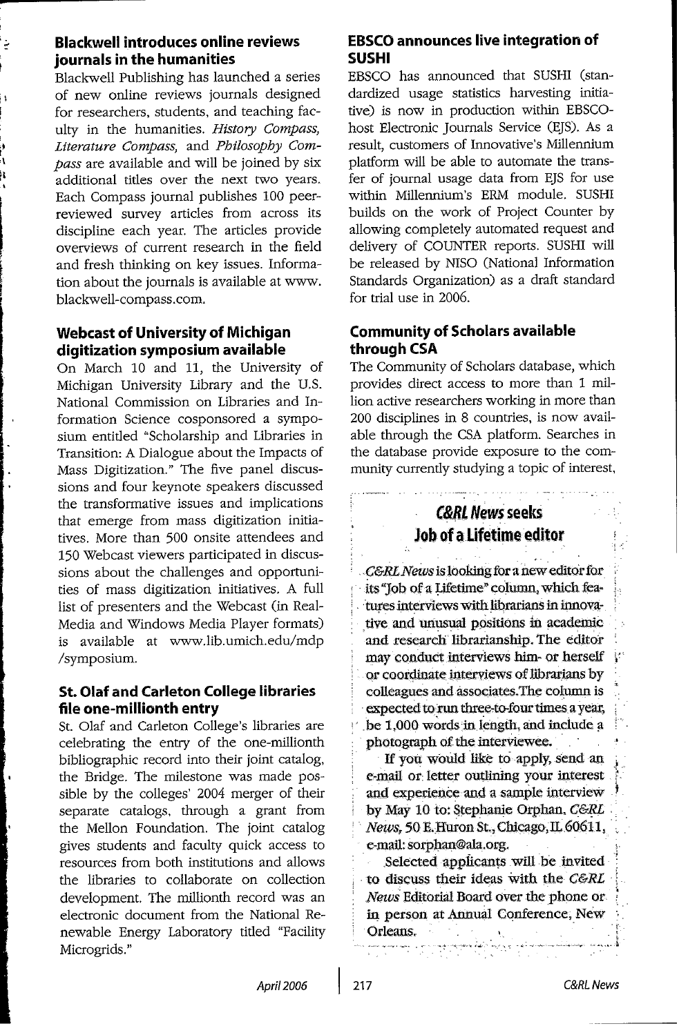## Blackwell introduces online reviews journals in the humanities

Blackwell Publishing has launched a series of new online reviews journals designed for researchers, students, and teaching faculty in the humanities. *History Compass, Literature Compass,* and *Philosophy Compass* are available and will be joined by six additional tides over the next two years. Each Compass journal publishes 100 peerreviewed survey articles from across its discipline each year. The articles provide overviews of current research in the field and fresh thinking on key issues. Information about the journals is available at www. blackwell-compass.com.

## Webcast of University of Michigan digitization symposium available

On March 10 and 11, the University of Michigan University Library and the U.S. National Commission on Libraries and Information Science cosponsored a symposium entitled "Scholarship and Libraries in Transition: A Dialogue about the Impacts of Mass Digitization." The five panel discussions and four keynote speakers discussed the transformative issues and implications that emerge from mass digitization initiatives. More than 500 onsite attendees and 150 Webcast viewers participated in discussions about the challenges and opportunities of mass digitization initiatives. A full list of presenters and the Webcast (in Real-Media and Windows Media Player formats) is available at www.lib.umich.edu/mdp /symposium.

#### St. Olaf and Carleton College libraries file one-millionth entry

St. Olaf and Carleton College's libraries are celebrating the entry of the one-millionth bibliographic record into their joint catalog, the Bridge. The milestone was made possible by the colleges' 2004 merger of their separate catalogs, through a grant from the Mellon Foundation. The joint catalog gives students and faculty quick access to resources from both institutions and allows the libraries to collaborate on collection development. The millionth record was an electronic document from the National Renewable Energy Laboratory tided "Facility Microgrids."

## **EBSCO** announces live integration of **SUSHI**

EBSCO has announced that SUSHI (standardized usage statistics harvesting initiative) is now in production within EBSCOhost Electronic Journals Service (EJS). As a result, customers of Innovative's Millennium platform will be able to automate the transfer of journal usage data from EJS for use within Millennium's ERM module. SUSHI builds on the work of Project Counter by allowing completely automated request and delivery of COUNTER reports. SUSHI will be released by NISO (National Information Standards Organization) as a draft standard for trial use in 2006.

## Community of Scholars available through **CSA**

The Community of Scholars database, which provides direct access to more than 1 million active researchers working in more than 200 disciplines in 8 countries, is now available through the **CSA** platform. Searches in the database provide exposure to the community currently studying a topic of interest,

# *C&RL* News seeks Job of a Lifetime editor

*C&RL News is looking for a new editor for* its "Job of a Lifetime" column, which features interviews with librarians in innovative and unusual positions in academic and research librarianship. The editor may conduct interviews him- or herself or coordinate interviews of librarians by colleagues and associates.The column is expected to run three-to-four times a year, be 1,000 words in length, and include a photograph of the interviewee.

If you would like to apply, send an e-mail or letter outlining your interest and experience and a sample interview by May 10 to: Stephanie Orphan, *C&RL News,* 50 E.Huron St., Chicago,IL 60611, e-mail: sorphan@ala.org.

Selected applicants will be invited to discuss their ideas with the *C&RL* News Editorial Board over the phone or in person at Annual Conference, New Orleans.

ومتعاونهم ومناومة وموجودهم والمراد

*April2006*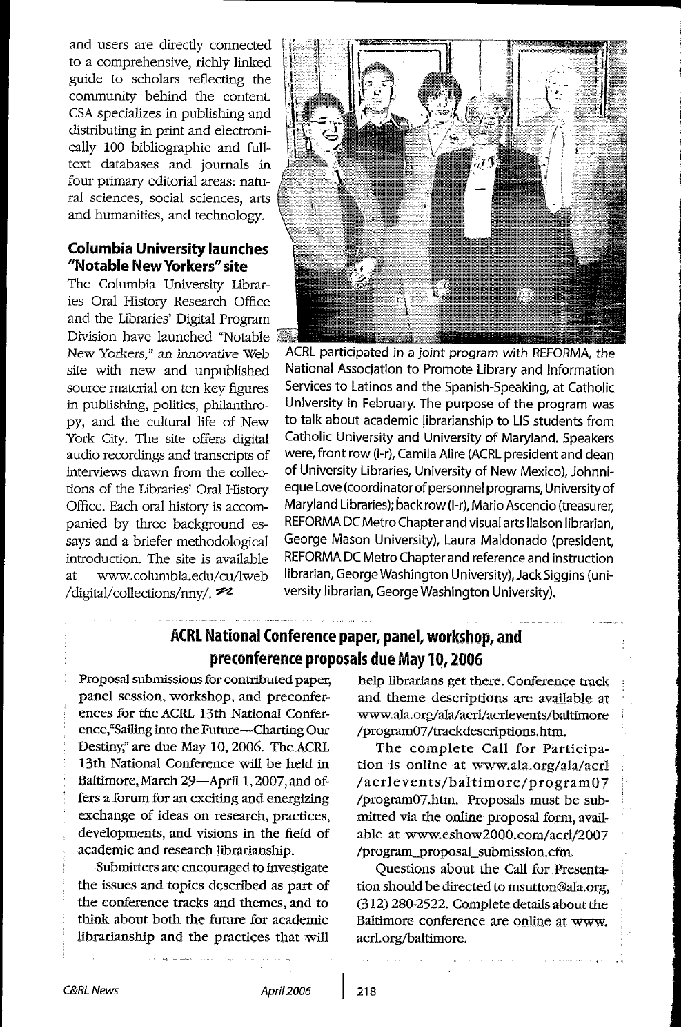and users are directly connected to a comprehensive, richly linked guide to scholars reflecting the community behind the content. **CSA** specializes in publishing and distributing in print and electronically 100 bibliographic and fulltext databases and journals in four primary editorial areas: natural sciences, social sciences, arts and humanities, and technology.

#### Columbia University launches "Notable New Yorkers" site

The Columbia University Libraries Oral History Research Office and the Libraries' Digital Program Division have launched "Notable New Yorkers," an innovative Web site with new and unpublished source material on ten key figures in publishing, politics, philanthropy, and the cultural life of New York City. The site offers digital audio recordings and transcripts of interviews drawn from the collections of the Libraries' Oral History Office. Each oral history is accompanied by three background essays and a briefer methodological introduction. The site is available at www.columbia.edu/cu/lweb /digital/collections/nny/. $\mathcal{P}2$ 



**I**

ACRL participated in a joint program with REFORMA, the National Association to Promote Library and Information Services to Latinos and the Spanish-Speaking, at Catholic University in February. The purpose of the program was to talk about academic librarianship to LIS students from Catholic University and University of Maryland. Speakers were, front row (1-r), Camila Alire (ACRL president and dean of University Libraries, University of New Mexico), Johnnieque Love (coordinator of personnel programs, University of Maryland Libraries); back row (1-r), Mario Ascencio (treasurer, REFORMA DC Metro Chapter and visual arts liaison librarian, George Mason University), Laura Maldonado (president, REFORMA DC Metro Chapter and reference and instruction librarian, George Washington University), Jack Siggins (university librarian, George Washington University).

## ACRL National Conference paper, panel, workshop, and preconference proposals due May **10, 2006**

Proposal submissions for contributed paper, panel session, workshop, and preconferences for the ACRL 13th National Conference,"Sailing into the Future-Charting Our Destiny," are due May 10, 2006. The ACRL 13th National Conference will be held in Baltimore, March 29-April 1, 2007, and offers a forum for an exciting and energizing exchange of ideas on research, practices, developments, and visions in the field of academic and research librarianship.

Submitters are encouraged to investigate the issues and topics described as part of the conference tracks and themes, and to think about both the future for academic librarianship and the practices that will help librarians get there. Conference track and theme descriptions are available at www.ala.org/ala/acrl/acrlevents/baltimore /program07/trackdescriptions,htm.

The complete Call for Participation is online at www.ala.org/ala/acrl /acrlevents/baltimore/program07 /program07.htm. Proposals must be submitted via the online proposal form, available at www.eshow2000.com/acrl/2007 /program\_proposal\_submission.cfm.

Questions about the Call for Presentation should be directed to msutton@ala.org, (312) 280-2522. Complete details about the Baltimore conference are online at www. acrl.org/baltimore,